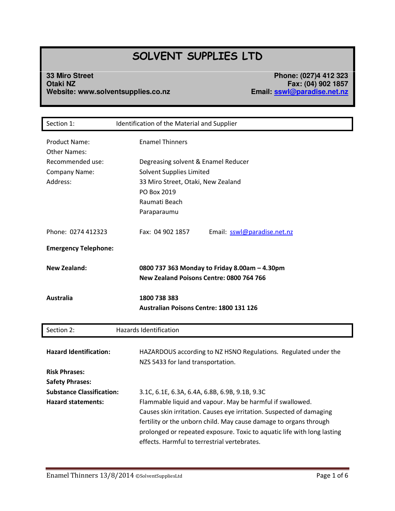# **SOLVENT SUPPLIES LTD**

## **33 Miro Street Phone: (027)4 412 323 Otaki NZ Fax: (04) 902 1857 Website: www.solventsupplies.co.nz Email: [sswl@paradise.net.nz](mailto:sswl@paradise.net.nz)**

| Section 1:                           | Identification of the Material and Supplier                                                                                                                                                  |
|--------------------------------------|----------------------------------------------------------------------------------------------------------------------------------------------------------------------------------------------|
| Product Name:<br><b>Other Names:</b> | <b>Enamel Thinners</b>                                                                                                                                                                       |
| Recommended use:                     | Degreasing solvent & Enamel Reducer                                                                                                                                                          |
| Company Name:                        | <b>Solvent Supplies Limited</b>                                                                                                                                                              |
| Address:                             | 33 Miro Street, Otaki, New Zealand                                                                                                                                                           |
|                                      | PO Box 2019                                                                                                                                                                                  |
|                                      | Raumati Beach                                                                                                                                                                                |
|                                      | Paraparaumu                                                                                                                                                                                  |
| Phone: 0274 412323                   | Fax: 04 902 1857<br>Email: sswl@paradise.net.nz                                                                                                                                              |
| <b>Emergency Telephone:</b>          |                                                                                                                                                                                              |
| <b>New Zealand:</b>                  | 0800 737 363 Monday to Friday 8.00am - 4.30pm<br>New Zealand Poisons Centre: 0800 764 766                                                                                                    |
| Australia                            | 1800 738 383<br><b>Australian Poisons Centre: 1800 131 126</b>                                                                                                                               |
| Section 2:                           | <b>Hazards Identification</b>                                                                                                                                                                |
| <b>Hazard Identification:</b>        | HAZARDOUS according to NZ HSNO Regulations. Regulated under the<br>NZS 5433 for land transportation.                                                                                         |
| <b>Risk Phrases:</b>                 |                                                                                                                                                                                              |
| <b>Safety Phrases:</b>               |                                                                                                                                                                                              |
| <b>Substance Classification:</b>     | 3.1C, 6.1E, 6.3A, 6.4A, 6.8B, 6.9B, 9.1B, 9.3C                                                                                                                                               |
| <b>Hazard statements:</b>            | Flammable liquid and vapour. May be harmful if swallowed.                                                                                                                                    |
|                                      | Causes skin irritation. Causes eye irritation. Suspected of damaging                                                                                                                         |
|                                      | fertility or the unborn child. May cause damage to organs through<br>prolonged or repeated exposure. Toxic to aquatic life with long lasting<br>effects. Harmful to terrestrial vertebrates. |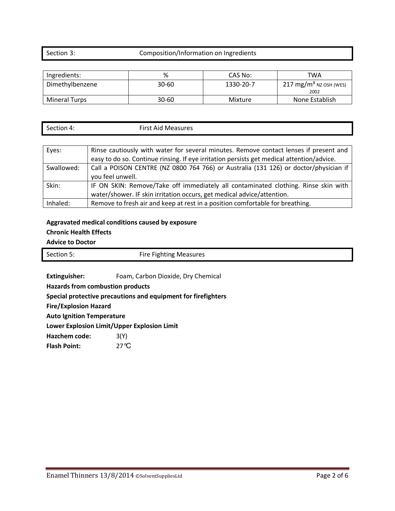## Section 3: Composition/Information on Ingredients

| Ingredients:    | %     | CAS No:   | TWA                                        |
|-----------------|-------|-----------|--------------------------------------------|
| Dimethylbenzene | 30-60 | 1330-20-7 | 217 mg/m <sup>3</sup> NZ OSH (WES)<br>2002 |
| Mineral Turps   | 30-60 | Mixture   | None Establish                             |

| $\sim$  | <b>Clash</b> |
|---------|--------------|
| . .     | <b>A</b> . A |
| ction 4 | ısures       |
| 5er     | Me           |
|         | -------      |
|         |              |

| Eyes:      | Rinse cautiously with water for several minutes. Remove contact lenses if present and     |
|------------|-------------------------------------------------------------------------------------------|
|            | easy to do so. Continue rinsing. If eye irritation persists get medical attention/advice. |
| Swallowed: | Call a POISON CENTRE (NZ 0800 764 766) or Australia (131 126) or doctor/physician if      |
|            | you feel unwell.                                                                          |
| Skin:      | IF ON SKIN: Remove/Take off immediately all contaminated clothing. Rinse skin with        |
|            | water/shower. IF skin irritation occurs, get medical advice/attention.                    |
| Inhaled:   | Remove to fresh air and keep at rest in a position comfortable for breathing.             |

## **Aggravated medical conditions caused by exposure Chronic Health Effects**

**Advice to Doctor**

| Section 5: | <b>Fire Fighting Measures</b> |
|------------|-------------------------------|
|            |                               |
|            |                               |

**Extinguisher:** Foam, Carbon Dioxide, Dry Chemical

**Hazards from combustion products** 

**Special protective precautions and equipment for firefighters** 

**Fire/Explosion Hazard** 

**Auto Ignition Temperature** 

**Lower Explosion Limit/Upper Explosion Limit** 

**Hazchem code:** 3(Y)

**Flash Point:** 27°C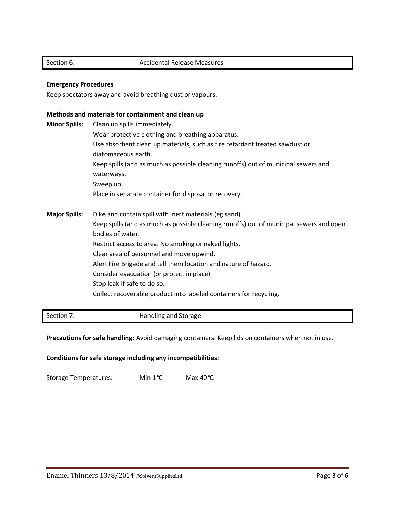## Section 6: Accidental Release Measures

## **Emergency Procedures**

Keep spectators away and avoid breathing dust or vapours.

## **Methods and materials for containment and clean up**

| <b>Minor Spills:</b> | Clean up spills immediately.<br>Wear protective clothing and breathing apparatus.<br>Use absorbent clean up materials, such as fire retardant treated sawdust or<br>diatomaceous earth.<br>Keep spills (and as much as possible cleaning runoffs) out of municipal sewers and<br>waterways.<br>Sweep up.<br>Place in separate container for disposal or recovery.                                                                                                                               |
|----------------------|-------------------------------------------------------------------------------------------------------------------------------------------------------------------------------------------------------------------------------------------------------------------------------------------------------------------------------------------------------------------------------------------------------------------------------------------------------------------------------------------------|
| <b>Major Spills:</b> | Dike and contain spill with inert materials (eg sand).<br>Keep spills (and as much as possible cleaning runoffs) out of municipal sewers and open<br>bodies of water.<br>Restrict access to area. No smoking or naked lights.<br>Clear area of personnel and move upwind.<br>Alert Fire Brigade and tell them location and nature of hazard.<br>Consider evacuation (or protect in place).<br>Stop leak if safe to do so.<br>Collect recoverable product into labeled containers for recycling. |

Section 7: Handling and Storage

Precautions for safe handling: Avoid damaging containers. Keep lids on containers when not in use.

**Conditions for safe storage including any incompatibilities:** 

Storage Temperatures: Min 1℃ Max 40℃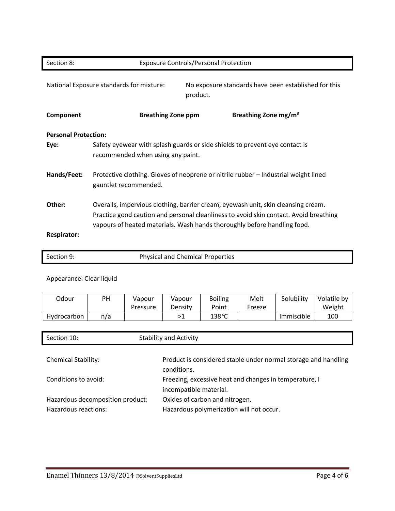| Section 8:                          | <b>Exposure Controls/Personal Protection</b>                                                                                                                                                                                                           |  |
|-------------------------------------|--------------------------------------------------------------------------------------------------------------------------------------------------------------------------------------------------------------------------------------------------------|--|
|                                     | No exposure standards have been established for this<br>National Exposure standards for mixture:<br>product.                                                                                                                                           |  |
| Component                           | Breathing Zone mg/m <sup>3</sup><br><b>Breathing Zone ppm</b>                                                                                                                                                                                          |  |
| <b>Personal Protection:</b><br>Eye: | Safety eyewear with splash guards or side shields to prevent eye contact is<br>recommended when using any paint.                                                                                                                                       |  |
| Hands/Feet:                         | Protective clothing. Gloves of neoprene or nitrile rubber – Industrial weight lined<br>gauntlet recommended.                                                                                                                                           |  |
| Other:<br><b>Respirator:</b>        | Overalls, impervious clothing, barrier cream, eyewash unit, skin cleansing cream.<br>Practice good caution and personal cleanliness to avoid skin contact. Avoid breathing<br>vapours of heated materials. Wash hands thoroughly before handling food. |  |

| Section 9: | <b>Physical and Chemical Properties</b> |
|------------|-----------------------------------------|
|            |                                         |

## Appearance: Clear liquid

| Odour              | PH  | Vapour   | Vapour  | <b>Boiling</b>  | Melt   | Solubility | Volatile by |
|--------------------|-----|----------|---------|-----------------|--------|------------|-------------|
|                    |     | Pressure | Density | Point           | Freeze |            | Weight      |
| <b>Hydrocarbon</b> | n/a |          |         | $138^{\circ}$ C |        | Immiscible | 100         |

| Section 10:                                              | <b>Stability and Activity</b>                                                    |
|----------------------------------------------------------|----------------------------------------------------------------------------------|
|                                                          |                                                                                  |
| <b>Chemical Stability:</b>                               | Product is considered stable under normal storage and handling<br>conditions.    |
| Conditions to avoid:                                     | Freezing, excessive heat and changes in temperature, I<br>incompatible material. |
| Hazardous decomposition product:<br>Hazardous reactions: | Oxides of carbon and nitrogen.<br>Hazardous polymerization will not occur.       |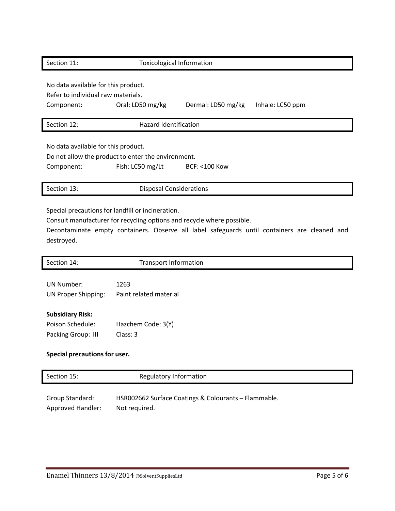| Section 11:                                                                             | <b>Toxicological Information</b>                                       |                    |                  |
|-----------------------------------------------------------------------------------------|------------------------------------------------------------------------|--------------------|------------------|
| No data available for this product.<br>Refer to individual raw materials.<br>Component: | Oral: LD50 mg/kg                                                       | Dermal: LD50 mg/kg | Inhale: LC50 ppm |
| Section 12:                                                                             | <b>Hazard Identification</b>                                           |                    |                  |
| No data available for this product.<br>Component:                                       | Do not allow the product to enter the environment.<br>Fish: LC50 mg/Lt | $BCF: < 100$ Kow   |                  |
| Section 13:                                                                             | <b>Disposal Considerations</b>                                         |                    |                  |

Special precautions for landfill or incineration.

Consult manufacturer for recycling options and recycle where possible.

Decontaminate empty containers. Observe all label safeguards until containers are cleaned and destroyed.

| Section 14:                   | <b>Transport Information</b> |  |
|-------------------------------|------------------------------|--|
|                               |                              |  |
| UN Number:                    | 1263                         |  |
| UN Proper Shipping:           | Paint related material       |  |
|                               |                              |  |
| <b>Subsidiary Risk:</b>       |                              |  |
| Poison Schedule:              | Hazchem Code: 3(Y)           |  |
| Packing Group: III            | Class: 3                     |  |
|                               |                              |  |
| Special precautions for user. |                              |  |

| Section 15:              | Regulatory Information                               |
|--------------------------|------------------------------------------------------|
| Group Standard:          | HSR002662 Surface Coatings & Colourants - Flammable. |
| <b>Approved Handler:</b> | Not required.                                        |